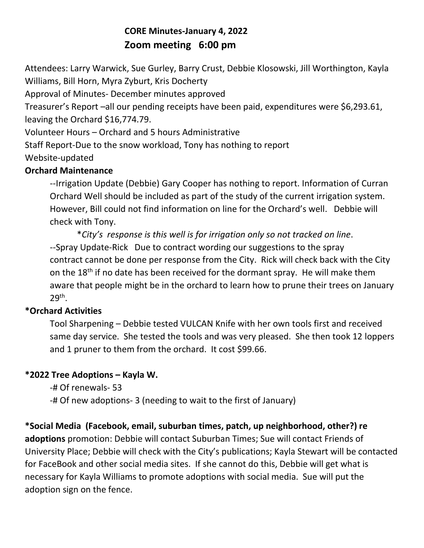# **CORE Minutes-January 4, 2022 Zoom meeting 6:00 pm**

Attendees: Larry Warwick, Sue Gurley, Barry Crust, Debbie Klosowski, Jill Worthington, Kayla Williams, Bill Horn, Myra Zyburt, Kris Docherty

Approval of Minutes- December minutes approved

Treasurer's Report –all our pending receipts have been paid, expenditures were \$6,293.61, leaving the Orchard \$16,774.79.

Volunteer Hours – Orchard and 5 hours Administrative

Staff Report-Due to the snow workload, Tony has nothing to report

Website-updated

### **Orchard Maintenance**

--Irrigation Update (Debbie) Gary Cooper has nothing to report. Information of Curran Orchard Well should be included as part of the study of the current irrigation system. However, Bill could not find information on line for the Orchard's well. Debbie will check with Tony.

\**City's response is this well is for irrigation only so not tracked on line*. --Spray Update-Rick Due to contract wording our suggestions to the spray contract cannot be done per response from the City. Rick will check back with the City on the 18<sup>th</sup> if no date has been received for the dormant spray. He will make them aware that people might be in the orchard to learn how to prune their trees on January 29th .

## **\*Orchard Activities**

Tool Sharpening – Debbie tested VULCAN Knife with her own tools first and received same day service. She tested the tools and was very pleased. She then took 12 loppers and 1 pruner to them from the orchard. It cost \$99.66.

## **\*2022 Tree Adoptions – Kayla W.**

-# Of renewals- 53

-# Of new adoptions- 3 (needing to wait to the first of January)

**\*Social Media (Facebook, email, suburban times, patch, up neighborhood, other?) re adoptions** promotion: Debbie will contact Suburban Times; Sue will contact Friends of University Place; Debbie will check with the City's publications; Kayla Stewart will be contacted for FaceBook and other social media sites. If she cannot do this, Debbie will get what is necessary for Kayla Williams to promote adoptions with social media. Sue will put the adoption sign on the fence.